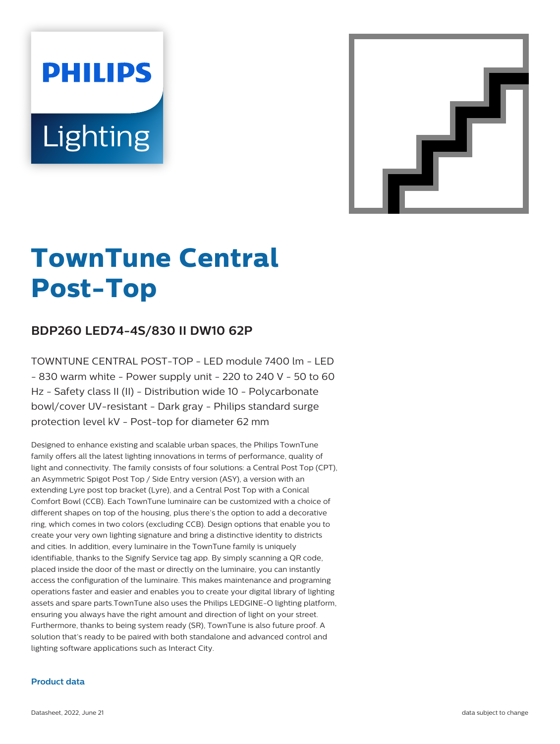# **PHILIPS Lighting**



# **TownTune Central Post-Top**

# **BDP260 LED74-4S/830 II DW10 62P**

TOWNTUNE CENTRAL POST-TOP - LED module 7400 lm - LED  $-$  830 warm white - Power supply unit - 220 to 240 V - 50 to 60 Hz - Safety class II (II) - Distribution wide 10 - Polycarbonate bowl/cover UV-resistant - Dark gray - Philips standard surge protection level kV - Post-top for diameter 62 mm

Designed to enhance existing and scalable urban spaces, the Philips TownTune family offers all the latest lighting innovations in terms of performance, quality of light and connectivity. The family consists of four solutions: a Central Post Top (CPT), an Asymmetric Spigot Post Top / Side Entry version (ASY), a version with an extending Lyre post top bracket (Lyre), and a Central Post Top with a Conical Comfort Bowl (CCB). Each TownTune luminaire can be customized with a choice of different shapes on top of the housing, plus there's the option to add a decorative ring, which comes in two colors (excluding CCB). Design options that enable you to create your very own lighting signature and bring a distinctive identity to districts and cities. In addition, every luminaire in the TownTune family is uniquely identifiable, thanks to the Signify Service tag app. By simply scanning a QR code, placed inside the door of the mast or directly on the luminaire, you can instantly access the configuration of the luminaire. This makes maintenance and programing operations faster and easier and enables you to create your digital library of lighting assets and spare parts.TownTune also uses the Philips LEDGINE-O lighting platform, ensuring you always have the right amount and direction of light on your street. Furthermore, thanks to being system ready (SR), TownTune is also future proof. A solution that's ready to be paired with both standalone and advanced control and lighting software applications such as Interact City.

#### **Product data**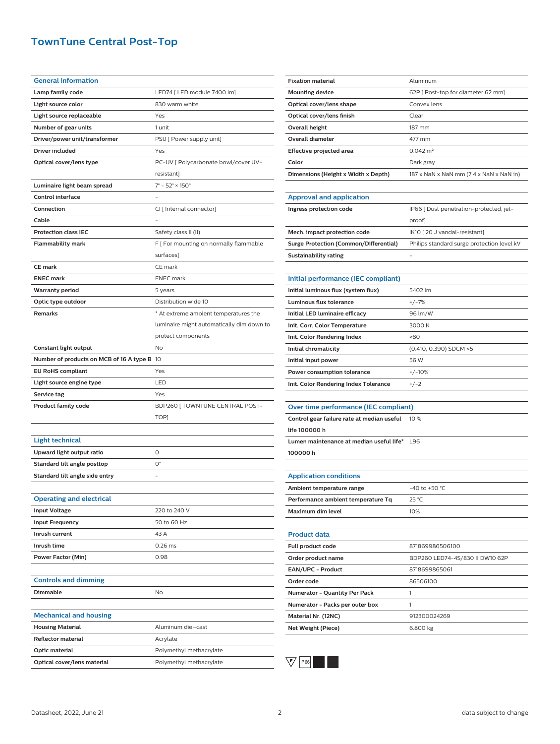## **TownTune Central Post-Top**

| <b>General information</b>                  |                                              |
|---------------------------------------------|----------------------------------------------|
| Lamp family code                            | LED74 [ LED module 7400 lm]                  |
| Light source color                          | 830 warm white                               |
| Light source replaceable                    | Yes                                          |
| Number of gear units                        | 1 unit                                       |
| Driver/power unit/transformer               | PSU [ Power supply unit]                     |
| Driver included                             | Yes                                          |
| Optical cover/lens type                     | PC-UV [ Polycarbonate bowl/cover UV-         |
|                                             | resistant]                                   |
| Luminaire light beam spread                 | $7^{\circ}$ - 52 $^{\circ}$ × 150 $^{\circ}$ |
| <b>Control interface</b>                    |                                              |
| Connection                                  | CI [ Internal connector]                     |
| Cable                                       |                                              |
| <b>Protection class IEC</b>                 | Safety class II (II)                         |
| Flammability mark                           | F [ For mounting on normally flammable       |
|                                             | surfaces]                                    |
| <b>CE mark</b>                              | CE mark                                      |
| <b>ENEC mark</b>                            | <b>ENEC</b> mark                             |
| <b>Warranty period</b>                      | 5 years                                      |
| Optic type outdoor                          | Distribution wide 10                         |
| Remarks                                     | * At extreme ambient temperatures the        |
|                                             | luminaire might automatically dim down to    |
|                                             | protect components                           |
| Constant light output                       | <b>No</b>                                    |
| Number of products on MCB of 16 A type B 10 |                                              |
| <b>EU RoHS compliant</b>                    | Yes                                          |
| Light source engine type                    | LED                                          |
| Service tag                                 | Yes                                          |
| <b>Product family code</b>                  | BDP260 [TOWNTUNE CENTRAL POST-               |
|                                             | TOP]                                         |
|                                             |                                              |
| <b>Light technical</b>                      |                                              |
| Upward light output ratio                   | 0                                            |
| Standard tilt angle posttop                 | $O^{\circ}$                                  |
| Standard tilt angle side entry              |                                              |
|                                             |                                              |
| <b>Operating and electrical</b>             |                                              |
| <b>Input Voltage</b>                        | 220 to 240 V                                 |
| <b>Input Frequency</b>                      | 50 to 60 Hz                                  |
| Inrush current                              | 43 A                                         |
| Inrush time                                 | $0.26$ ms                                    |
| <b>Power Factor (Min)</b>                   | 0.98                                         |
|                                             |                                              |
| <b>Controls and dimming</b>                 |                                              |
| <b>Dimmable</b>                             | No                                           |
|                                             |                                              |
| <b>Mechanical and housing</b>               |                                              |
| <b>Housing Material</b>                     | Aluminum die-cast                            |
| <b>Reflector material</b>                   | Acrylate                                     |
| Optic material                              | Polymethyl methacrylate                      |
| Optical cover/lens material                 | Polymethyl methacrylate                      |

| <b>Fixation material</b>                      | Aluminum                                   |
|-----------------------------------------------|--------------------------------------------|
| <b>Mounting device</b>                        | 62P [ Post-top for diameter 62 mm]         |
| Optical cover/lens shape                      | Convex lens                                |
| Optical cover/lens finish                     | Clear                                      |
| Overall height                                | 187 mm                                     |
| <b>Overall diameter</b>                       | 477 mm                                     |
| Effective projected area                      | $0.042 \, \text{m}^2$                      |
| Color                                         | Dark gray                                  |
| Dimensions (Height x Width x Depth)           | 187 x NaN x NaN mm (7.4 x NaN x NaN in)    |
|                                               |                                            |
| <b>Approval and application</b>               |                                            |
| Ingress protection code                       | IP66 [ Dust penetration-protected, jet-    |
|                                               | proof]                                     |
| Mech. impact protection code                  | IK10 [20 J vandal-resistant]               |
| <b>Surge Protection (Common/Differential)</b> | Philips standard surge protection level kV |
| Sustainability rating                         |                                            |
|                                               |                                            |
| Initial performance (IEC compliant)           |                                            |
| Initial luminous flux (system flux)           | 5402 lm                                    |
| Luminous flux tolerance                       | $+/-7%$                                    |
| Initial LED luminaire efficacy                | 96 lm/W                                    |
| Init. Corr. Color Temperature                 | 3000 K                                     |
| Init. Color Rendering Index                   | >80                                        |
| Initial chromaticity                          | (0.410, 0.390) SDCM <5                     |
| Initial input power                           | 56 W                                       |
| Power consumption tolerance                   | $+/-10%$                                   |
| Init. Color Rendering Index Tolerance         | $+/-2$                                     |
|                                               |                                            |
| Over time performance (IEC compliant)         |                                            |
| Control gear failure rate at median useful    | 10 %                                       |
| life 100000 h                                 |                                            |
| Lumen maintenance at median useful life*      | L96                                        |
| 100000h                                       |                                            |
|                                               |                                            |
| <b>Application conditions</b>                 |                                            |
| Ambient temperature range                     | -40 to +50 °C                              |
| Performance ambient temperature Tq            | 25 °C                                      |
| Maximum dim level                             | 10%                                        |
|                                               |                                            |
| <b>Product data</b>                           |                                            |
| Full product code                             | 871869986506100                            |
| Order product name                            | BDP260 LED74-4S/830 II DW10 62P            |
| EAN/UPC - Product                             | 8718699865061                              |
| Order code                                    | 86506100                                   |
| Numerator - Quantity Per Pack                 | 1                                          |
| Numerator - Packs per outer box               | 1                                          |
| Material Nr. (12NC)                           | 912300024269                               |



**Net Weight (Piece)** 6.800 kg